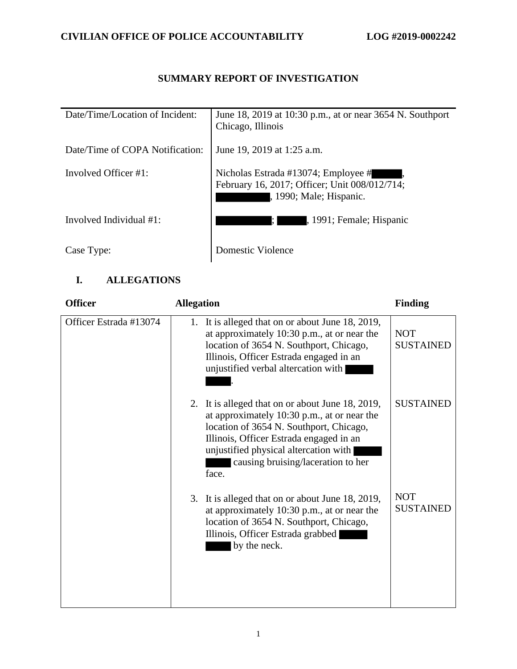# **SUMMARY REPORT OF INVESTIGATION**

| Date/Time/Location of Incident: | June 18, 2019 at 10:30 p.m., at or near 3654 N. Southport<br>Chicago, Illinois                                  |
|---------------------------------|-----------------------------------------------------------------------------------------------------------------|
| Date/Time of COPA Notification: | June 19, 2019 at 1:25 a.m.                                                                                      |
| Involved Officer #1:            | Nicholas Estrada #13074; Employee #<br>February 16, 2017; Officer; Unit 008/012/714;<br>, 1990; Male; Hispanic. |
| Involved Individual #1:         | , 1991; Female; Hispanic<br>I: I                                                                                |
| Case Type:                      | Domestic Violence                                                                                               |

## **I. ALLEGATIONS**

| <b>Officer</b>         | <b>Allegation</b>                                                                                                                                                                                                                                                             | <b>Finding</b>                 |
|------------------------|-------------------------------------------------------------------------------------------------------------------------------------------------------------------------------------------------------------------------------------------------------------------------------|--------------------------------|
| Officer Estrada #13074 | 1. It is alleged that on or about June 18, 2019,<br>at approximately 10:30 p.m., at or near the<br>location of 3654 N. Southport, Chicago,<br>Illinois, Officer Estrada engaged in an<br>unjustified verbal altercation with                                                  | <b>NOT</b><br><b>SUSTAINED</b> |
|                        | 2. It is alleged that on or about June 18, 2019,<br>at approximately 10:30 p.m., at or near the<br>location of 3654 N. Southport, Chicago,<br>Illinois, Officer Estrada engaged in an<br>unjustified physical altercation with<br>causing bruising/laceration to her<br>face. | <b>SUSTAINED</b>               |
|                        | 3. It is alleged that on or about June 18, 2019,<br>at approximately 10:30 p.m., at or near the<br>location of 3654 N. Southport, Chicago,<br>Illinois, Officer Estrada grabbed<br>by the neck.                                                                               | <b>NOT</b><br><b>SUSTAINED</b> |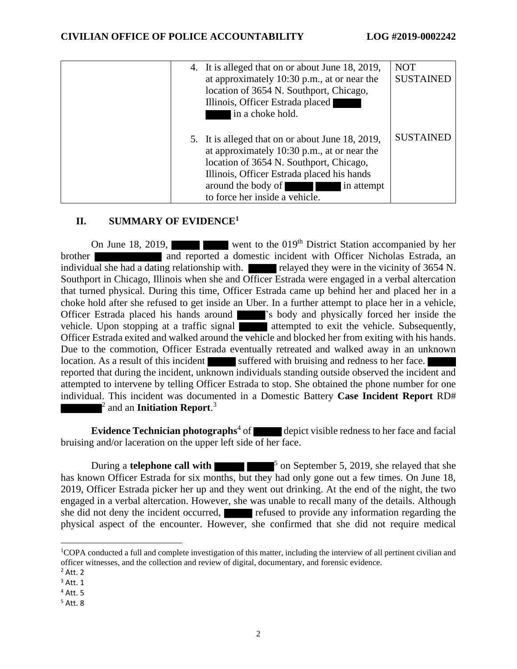|  | 4. It is alleged that on or about June 18, 2019,<br>at approximately 10:30 p.m., at or near the<br>location of 3654 N. Southport, Chicago,<br>Illinois, Officer Estrada placed<br>in a choke hold.                                                             | <b>NOT</b><br><b>SUSTAINED</b> |
|--|----------------------------------------------------------------------------------------------------------------------------------------------------------------------------------------------------------------------------------------------------------------|--------------------------------|
|  | 5. It is alleged that on or about June 18, 2019,<br>at approximately 10:30 p.m., at or near the<br>location of 3654 N. Southport, Chicago,<br>Illinois, Officer Estrada placed his hands<br>around the body of<br>in attempt<br>to force her inside a vehicle. | <b>SUSTAINED</b>               |

### **II. SUMMARY OF EVIDENCE<sup>1</sup>**

On June 18, 2019, went to the 019<sup>th</sup> District Station accompanied by her brother and reported a domestic incident with Officer Nicholas Estrada, an individual she had a dating relationship with. relayed they were in the vicinity of 3654 N. Southport in Chicago, Illinois when she and Officer Estrada were engaged in a verbal altercation that turned physical. During this time, Officer Estrada came up behind her and placed her in a choke hold after she refused to get inside an Uber. In a further attempt to place her in a vehicle, Officer Estrada placed his hands around 's body and physically forced her inside the vehicle. Upon stopping at a traffic signal **attempted** to exit the vehicle. Subsequently, Officer Estrada exited and walked around the vehicle and blocked her from exiting with his hands. Due to the commotion, Officer Estrada eventually retreated and walked away in an unknown location. As a result of this incident suffered with bruising and redness to her face. reported that during the incident, unknown individuals standing outside observed the incident and attempted to intervene by telling Officer Estrada to stop. She obtained the phone number for one individual. This incident was documented in a Domestic Battery **Case Incident Report** RD# 2 and an **Initiation Report**. 3

**Evidence Technician photographs**<sup>4</sup> of depict visible redness to her face and facial bruising and/or laceration on the upper left side of her face.

During a **telephone call with**  $\blacksquare$  <sup>5</sup> on September 5, 2019, she relayed that she has known Officer Estrada for six months, but they had only gone out a few times. On June 18, 2019, Officer Estrada picker her up and they went out drinking. At the end of the night, the two engaged in a verbal altercation. However, she was unable to recall many of the details. Although she did not deny the incident occurred, refused to provide any information regarding the physical aspect of the encounter. However, she confirmed that she did not require medical

<sup>1</sup>COPA conducted a full and complete investigation of this matter, including the interview of all pertinent civilian and officer witnesses, and the collection and review of digital, documentary, and forensic evidence.

 $<sup>2</sup>$  Att. 2</sup>

 $<sup>3</sup>$  Att. 1</sup>

 $<sup>4</sup>$  Att. 5</sup>

<sup>5</sup> Att. 8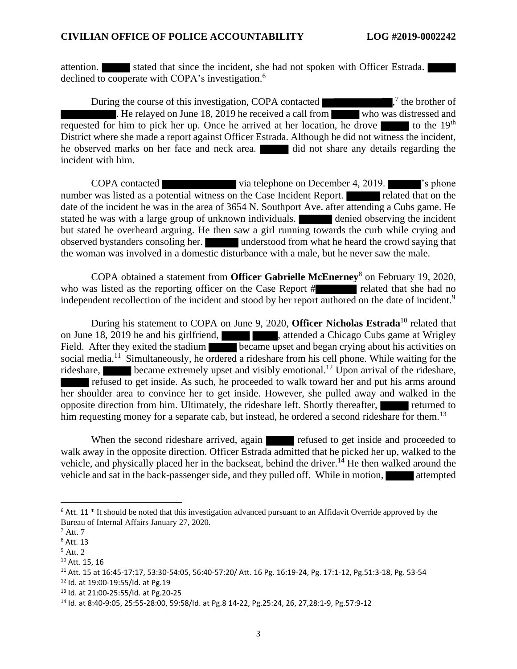attention. Stated that since the incident, she had not spoken with Officer Estrada. declined to cooperate with COPA's investigation.<sup>6</sup>

During the course of this investigation, COPA contacted 7 the brother of  $\overline{\phantom{a}}$ . He relayed on June 18, 2019 he received a call from who was distressed and requested for him to pick her up. Once he arrived at her location, he drove  $\blacksquare$  to the 19<sup>th</sup> District where she made a report against Officer Estrada. Although he did not witness the incident, he observed marks on her face and neck area. **The did not share any details regarding the** incident with him.

COPA contacted via telephone on December 4, 2019. <sup>'s</sup> phone number was listed as a potential witness on the Case Incident Report. **The related that on the** date of the incident he was in the area of 3654 N. Southport Ave. after attending a Cubs game. He stated he was with a large group of unknown individuals. **The denied observing the incident** but stated he overheard arguing. He then saw a girl running towards the curb while crying and observed bystanders consoling her. understood from what he heard the crowd saying that the woman was involved in a domestic disturbance with a male, but he never saw the male.

COPA obtained a statement from **Officer Gabrielle McEnerney**<sup>8</sup> on February 19, 2020, who was listed as the reporting officer on the Case Report # related that she had no independent recollection of the incident and stood by her report authored on the date of incident.<sup>9</sup>

During his statement to COPA on June 9, 2020, **Officer Nicholas Estrada**<sup>10</sup> related that on June 18, 2019 he and his girlfriend,  $\blacksquare$ , attended a Chicago Cubs game at Wrigley Field. After they exited the stadium became upset and began crying about his activities on social media.<sup>11</sup> Simultaneously, he ordered a rideshare from his cell phone. While waiting for the rideshare, became extremely upset and visibly emotional.<sup>12</sup> Upon arrival of the rideshare, refused to get inside. As such, he proceeded to walk toward her and put his arms around her shoulder area to convince her to get inside. However, she pulled away and walked in the opposite direction from him. Ultimately, the rideshare left. Shortly thereafter, returned to him requesting money for a separate cab, but instead, he ordered a second rideshare for them.<sup>13</sup>

When the second rideshare arrived, again refused to get inside and proceeded to walk away in the opposite direction. Officer Estrada admitted that he picked her up, walked to the vehicle, and physically placed her in the backseat, behind the driver.<sup>14</sup> He then walked around the vehicle and sat in the back-passenger side, and they pulled off. While in motion, attempted

 $6$  Att. 11  $*$  It should be noted that this investigation advanced pursuant to an Affidavit Override approved by the Bureau of Internal Affairs January 27, 2020.

 $^7$  Att. 7

<sup>8</sup> Att. 13

 $9$  Att. 2

<sup>10</sup> Att. 15, 16

<sup>11</sup> Att. 15 at 16:45-17:17, 53:30-54:05, 56:40-57:20/ Att. 16 Pg. 16:19-24, Pg. 17:1-12, Pg.51:3-18, Pg. 53-54

<sup>12</sup> Id. at 19:00-19:55/Id. at Pg.19

<sup>13</sup> Id. at 21:00-25:55/Id. at Pg.20-25

<sup>14</sup> Id. at 8:40-9:05, 25:55-28:00, 59:58/Id. at Pg.8 14-22, Pg.25:24, 26, 27,28:1-9, Pg.57:9-12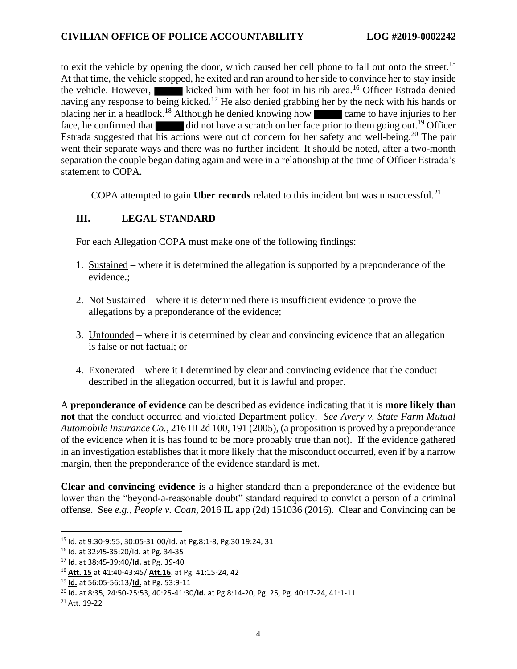to exit the vehicle by opening the door, which caused her cell phone to fall out onto the street.<sup>15</sup> At that time, the vehicle stopped, he exited and ran around to her side to convince her to stay inside the vehicle. However, kicked him with her foot in his rib area.<sup>16</sup> Officer Estrada denied having any response to being kicked.<sup>17</sup> He also denied grabbing her by the neck with his hands or placing her in a headlock.<sup>18</sup> Although he denied knowing how came to have injuries to her face, he confirmed that did not have a scratch on her face prior to them going out.<sup>19</sup> Officer Estrada suggested that his actions were out of concern for her safety and well-being.<sup>20</sup> The pair went their separate ways and there was no further incident. It should be noted, after a two-month separation the couple began dating again and were in a relationship at the time of Officer Estrada's statement to COPA.

COPA attempted to gain Uber records related to this incident but was unsuccessful.<sup>21</sup>

## **III. LEGAL STANDARD**

For each Allegation COPA must make one of the following findings:

- 1. Sustained **–** where it is determined the allegation is supported by a preponderance of the evidence.;
- 2. Not Sustained where it is determined there is insufficient evidence to prove the allegations by a preponderance of the evidence;
- 3. Unfounded where it is determined by clear and convincing evidence that an allegation is false or not factual; or
- 4. Exonerated where it I determined by clear and convincing evidence that the conduct described in the allegation occurred, but it is lawful and proper.

A **preponderance of evidence** can be described as evidence indicating that it is **more likely than not** that the conduct occurred and violated Department policy. *See Avery v. State Farm Mutual Automobile Insurance Co.,* 216 III 2d 100, 191 (2005), (a proposition is proved by a preponderance of the evidence when it is has found to be more probably true than not). If the evidence gathered in an investigation establishes that it more likely that the misconduct occurred, even if by a narrow margin, then the preponderance of the evidence standard is met.

**Clear and convincing evidence** is a higher standard than a preponderance of the evidence but lower than the "beyond-a-reasonable doubt" standard required to convict a person of a criminal offense. See *e.g., People v. Coan,* 2016 IL app (2d) 151036 (2016). Clear and Convincing can be

<sup>15</sup> Id. at 9:30-9:55, 30:05-31:00/Id. at Pg.8:1-8, Pg.30 19:24, 31

<sup>16</sup> Id. at 32:45-35:20/Id. at Pg. 34-35

<sup>17</sup> **Id**. at 38:45-39:40/**Id.** at Pg. 39-40

<sup>18</sup> **Att. 15** at 41:40-43:45/ **Att.16**. at Pg. 41:15-24, 42

<sup>19</sup> **Id.** at 56:05-56:13/**Id.** at Pg. 53:9-11

<sup>20</sup> **Id.** at 8:35, 24:50-25:53, 40:25-41:30/**Id.** at Pg.8:14-20, Pg. 25, Pg. 40:17-24, 41:1-11

<sup>21</sup> Att. 19-22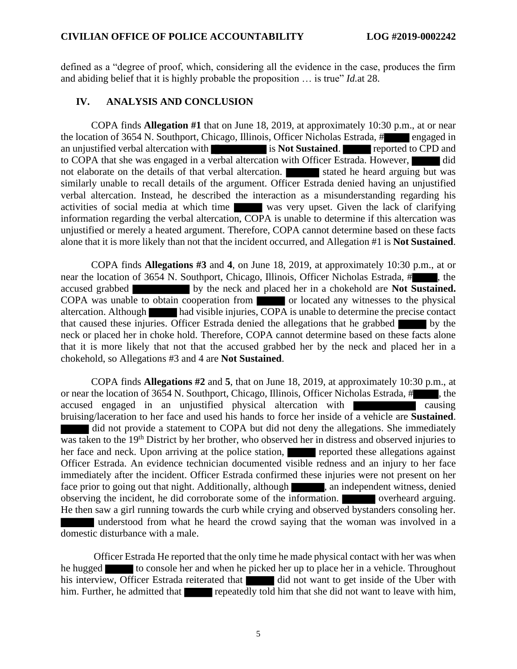defined as a "degree of proof, which, considering all the evidence in the case, produces the firm and abiding belief that it is highly probable the proposition … is true" *Id.*at 28.

#### **IV. ANALYSIS AND CONCLUSION**

COPA finds **Allegation #1** that on June 18, 2019, at approximately 10:30 p.m., at or near the location of 3654 N. Southport, Chicago, Illinois, Officer Nicholas Estrada, # engaged in an unjustified verbal altercation with is **Not Sustained**. **reported to CPD** and to COPA that she was engaged in a verbal altercation with Officer Estrada. However, did not elaborate on the details of that verbal altercation. Stated he heard arguing but was similarly unable to recall details of the argument. Officer Estrada denied having an unjustified verbal altercation. Instead, he described the interaction as a misunderstanding regarding his activities of social media at which time was very upset. Given the lack of clarifying information regarding the verbal altercation, COPA is unable to determine if this altercation was unjustified or merely a heated argument. Therefore, COPA cannot determine based on these facts alone that it is more likely than not that the incident occurred, and Allegation #1 is **Not Sustained**.

COPA finds **Allegations #3** and **4**, on June 18, 2019, at approximately 10:30 p.m., at or near the location of 3654 N. Southport, Chicago, Illinois, Officer Nicholas Estrada, # , the accused grabbed by the neck and placed her in a chokehold are **Not Sustained.**  COPA was unable to obtain cooperation from or located any witnesses to the physical altercation. Although had visible injuries, COPA is unable to determine the precise contact that caused these injuries. Officer Estrada denied the allegations that he grabbed by the neck or placed her in choke hold. Therefore, COPA cannot determine based on these facts alone that it is more likely that not that the accused grabbed her by the neck and placed her in a chokehold, so Allegations #3 and 4 are **Not Sustained**.

COPA finds **Allegations #2** and **5**, that on June 18, 2019, at approximately 10:30 p.m., at or near the location of 3654 N. Southport, Chicago, Illinois, Officer Nicholas Estrada, #, accused engaged in an unjustified physical altercation with causing bruising/laceration to her face and used his hands to force her inside of a vehicle are **Sustained**. did not provide a statement to COPA but did not deny the allegations. She immediately was taken to the 19<sup>th</sup> District by her brother, who observed her in distress and observed injuries to her face and neck. Upon arriving at the police station, reported these allegations against Officer Estrada. An evidence technician documented visible redness and an injury to her face immediately after the incident. Officer Estrada confirmed these injuries were not present on her face prior to going out that night. Additionally, although , an independent witness, denied observing the incident, he did corroborate some of the information. **Observing** overheard arguing. He then saw a girl running towards the curb while crying and observed bystanders consoling her.

 understood from what he heard the crowd saying that the woman was involved in a domestic disturbance with a male.

Officer Estrada He reported that the only time he made physical contact with her was when he hugged to console her and when he picked her up to place her in a vehicle. Throughout his interview, Officer Estrada reiterated that did not want to get inside of the Uber with him. Further, he admitted that repeatedly told him that she did not want to leave with him,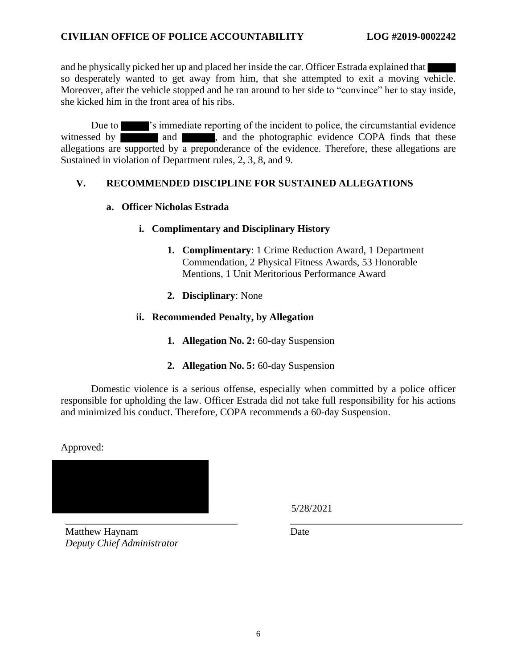#### **CIVILIAN OFFICE OF POLICE ACCOUNTABILITY LOG #2019-0002242**

and he physically picked her up and placed her inside the car. Officer Estrada explained that so desperately wanted to get away from him, that she attempted to exit a moving vehicle. Moreover, after the vehicle stopped and he ran around to her side to "convince" her to stay inside, she kicked him in the front area of his ribs.

Due to  $\blacksquare$ 's immediate reporting of the incident to police, the circumstantial evidence witnessed by and and , and the photographic evidence COPA finds that these allegations are supported by a preponderance of the evidence. Therefore, these allegations are Sustained in violation of Department rules, 2, 3, 8, and 9.

#### **V. RECOMMENDED DISCIPLINE FOR SUSTAINED ALLEGATIONS**

#### **a. Officer Nicholas Estrada**

#### **i. Complimentary and Disciplinary History**

- **1. Complimentary**: 1 Crime Reduction Award, 1 Department Commendation, 2 Physical Fitness Awards, 53 Honorable Mentions, 1 Unit Meritorious Performance Award
- **2. Disciplinary**: None

#### **ii. Recommended Penalty, by Allegation**

- **1. Allegation No. 2:** 60-day Suspension
- **2. Allegation No. 5:** 60-day Suspension

Domestic violence is a serious offense, especially when committed by a police officer responsible for upholding the law. Officer Estrada did not take full responsibility for his actions and minimized his conduct. Therefore, COPA recommends a 60-day Suspension.

Approved:

\_\_\_\_\_\_\_\_\_\_\_\_\_\_\_\_\_\_\_\_\_\_\_\_\_\_\_\_\_\_\_\_\_\_ \_\_\_\_\_\_\_\_\_\_\_\_\_\_\_\_\_\_\_\_\_\_\_\_\_\_\_\_\_\_\_\_\_\_

5/28/2021

Matthew Haynam *Deputy Chief Administrator* Date